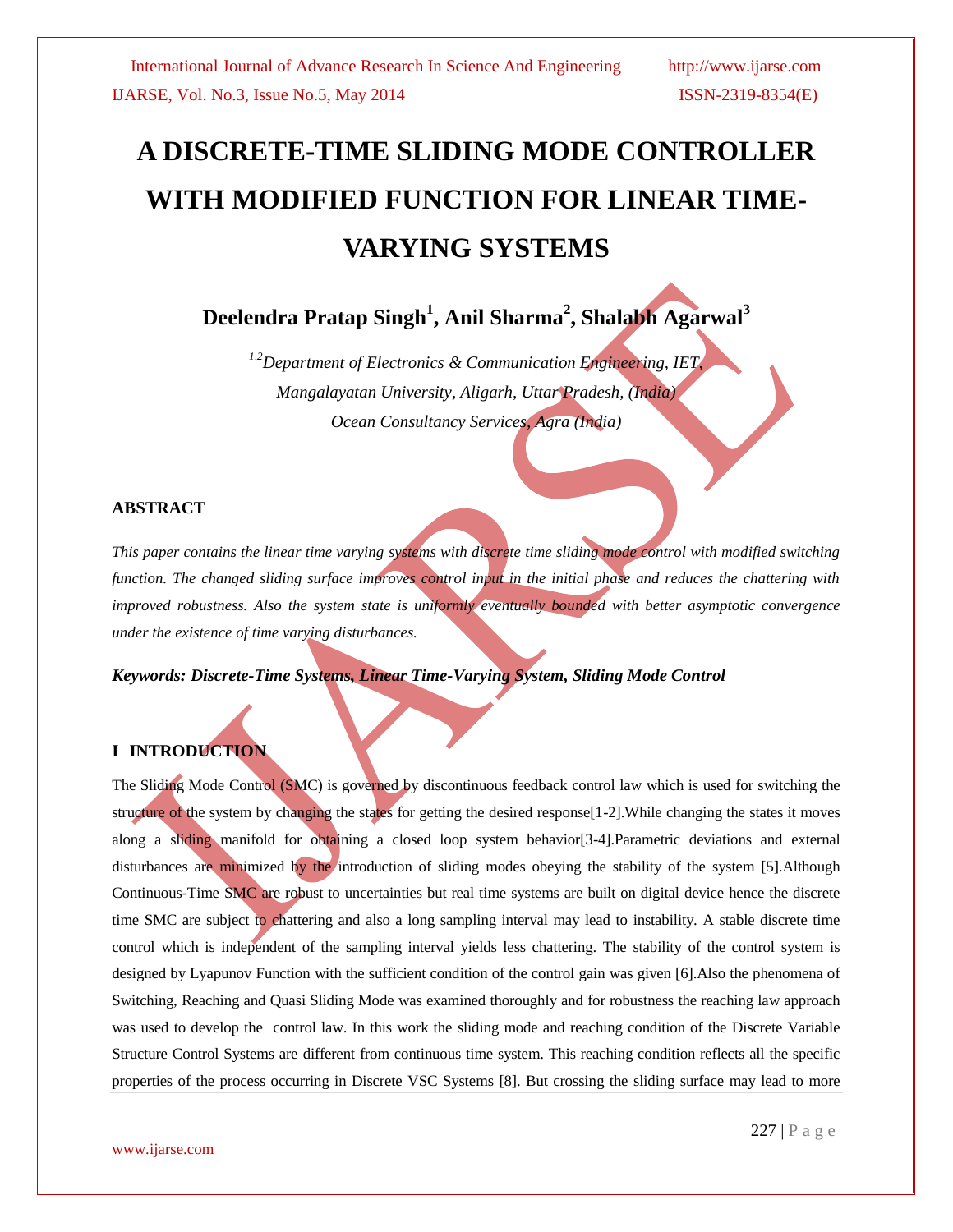# **A DISCRETE-TIME SLIDING MODE CONTROLLER WITH MODIFIED FUNCTION FOR LINEAR TIME-VARYING SYSTEMS**

**Deelendra Pratap Singh<sup>1</sup> , Anil Sharma<sup>2</sup> , Shalabh Agarwal<sup>3</sup>**

*1,2Department of Electronics & Communication Engineering, IET, Mangalayatan University, Aligarh, Uttar Pradesh, (India) Ocean Consultancy Services, Agra (India)*

#### **ABSTRACT**

*This paper contains the linear time varying systems with discrete time sliding mode control with modified switching function. The changed sliding surface improves control input in the initial phase and reduces the chattering with improved robustness. Also the system state is uniformly eventually bounded with better asymptotic convergence under the existence of time varying disturbances.*

*Keywords: Discrete-Time Systems, Linear Time-Varying System, Sliding Mode Control*

### **I INTRODUCTION**

The Sliding Mode Control (SMC) is governed by discontinuous feedback control law which is used for switching the structure of the system by changing the states for getting the desired response[1-2].While changing the states it moves along a sliding manifold for obtaining a closed loop system behavior[3-4].Parametric deviations and external disturbances are minimized by the introduction of sliding modes obeying the stability of the system [5].Although Continuous-Time SMC are robust to uncertainties but real time systems are built on digital device hence the discrete time SMC are subject to chattering and also a long sampling interval may lead to instability. A stable discrete time control which is independent of the sampling interval yields less chattering. The stability of the control system is designed by Lyapunov Function with the sufficient condition of the control gain was given [6].Also the phenomena of Switching, Reaching and Quasi Sliding Mode was examined thoroughly and for robustness the reaching law approach was used to develop the control law. In this work the sliding mode and reaching condition of the Discrete Variable Structure Control Systems are different from continuous time system. This reaching condition reflects all the specific properties of the process occurring in Discrete VSC Systems [8]. But crossing the sliding surface may lead to more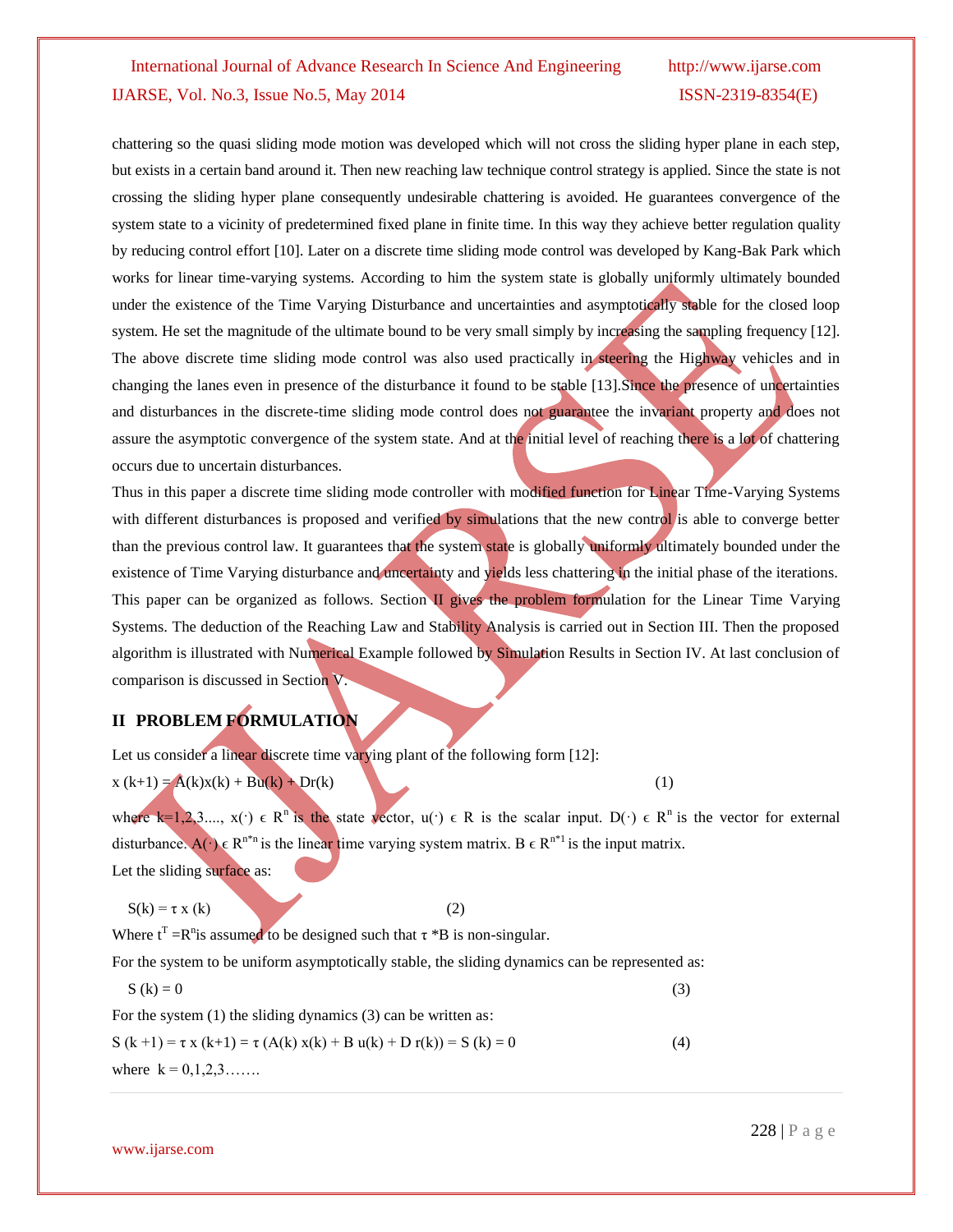chattering so the quasi sliding mode motion was developed which will not cross the sliding hyper plane in each step, but exists in a certain band around it. Then new reaching law technique control strategy is applied. Since the state is not crossing the sliding hyper plane consequently undesirable chattering is avoided. He guarantees convergence of the system state to a vicinity of predetermined fixed plane in finite time. In this way they achieve better regulation quality by reducing control effort [10]. Later on a discrete time sliding mode control was developed by Kang-Bak Park which works for linear time-varying systems. According to him the system state is globally uniformly ultimately bounded under the existence of the Time Varying Disturbance and uncertainties and asymptotically stable for the closed loop system. He set the magnitude of the ultimate bound to be very small simply by increasing the sampling frequency [12]. The above discrete time sliding mode control was also used practically in steering the Highway vehicles and in changing the lanes even in presence of the disturbance it found to be stable [13].Since the presence of uncertainties and disturbances in the discrete-time sliding mode control does not guarantee the invariant property and does not assure the asymptotic convergence of the system state. And at the initial level of reaching there is a lot of chattering occurs due to uncertain disturbances.

Thus in this paper a discrete time sliding mode controller with modified function for Linear Time-Varying Systems with different disturbances is proposed and verified by simulations that the new control is able to converge better than the previous control law. It guarantees that the system state is globally uniformly ultimately bounded under the existence of Time Varying disturbance and uncertainty and yields less chattering in the initial phase of the iterations. This paper can be organized as follows. Section II gives the problem formulation for the Linear Time Varying Systems. The deduction of the Reaching Law and Stability Analysis is carried out in Section III. Then the proposed algorithm is illustrated with Numerical Example followed by Simulation Results in Section IV. At last conclusion of comparison is discussed in Section V.

# **II PROBLEM FORMULATION**

Let us consider a linear discrete time varying plant of the following form [12]:  $x (k+1) = A(k)x(k) + Bu(k) + Dr(k)$  (1) where k=1,2,3....,  $x(·) \in R^n$  is the state vector,  $u(·) \in R$  is the scalar input.  $D(·) \in R^n$  is the vector for external disturbance. A( $\cdot$ )  $\in$  R<sup>n\*n</sup> is the linear time varying system matrix. B  $\in$  R<sup>n\*1</sup> is the input matrix. Let the sliding surface as:  $S(k) = \tau x (k)$  (2)

Where  $t^T = R^n$  is assumed to be designed such that  $\tau * B$  is non-singular.

For the system to be uniform asymptotically stable, the sliding dynamics can be represented as:

$$
S(k) = 0
$$
\n(3)

\nFor the system (1) the sliding dynamics (3) can be written as:

$$
S(k+1) = \tau x (k+1) = \tau (A(k) x(k) + B u(k) + D r(k)) = S (k) = 0
$$
\n(4)

\nwhere  $k = 0, 1, 2, 3, \ldots$ 

www.ijarse.com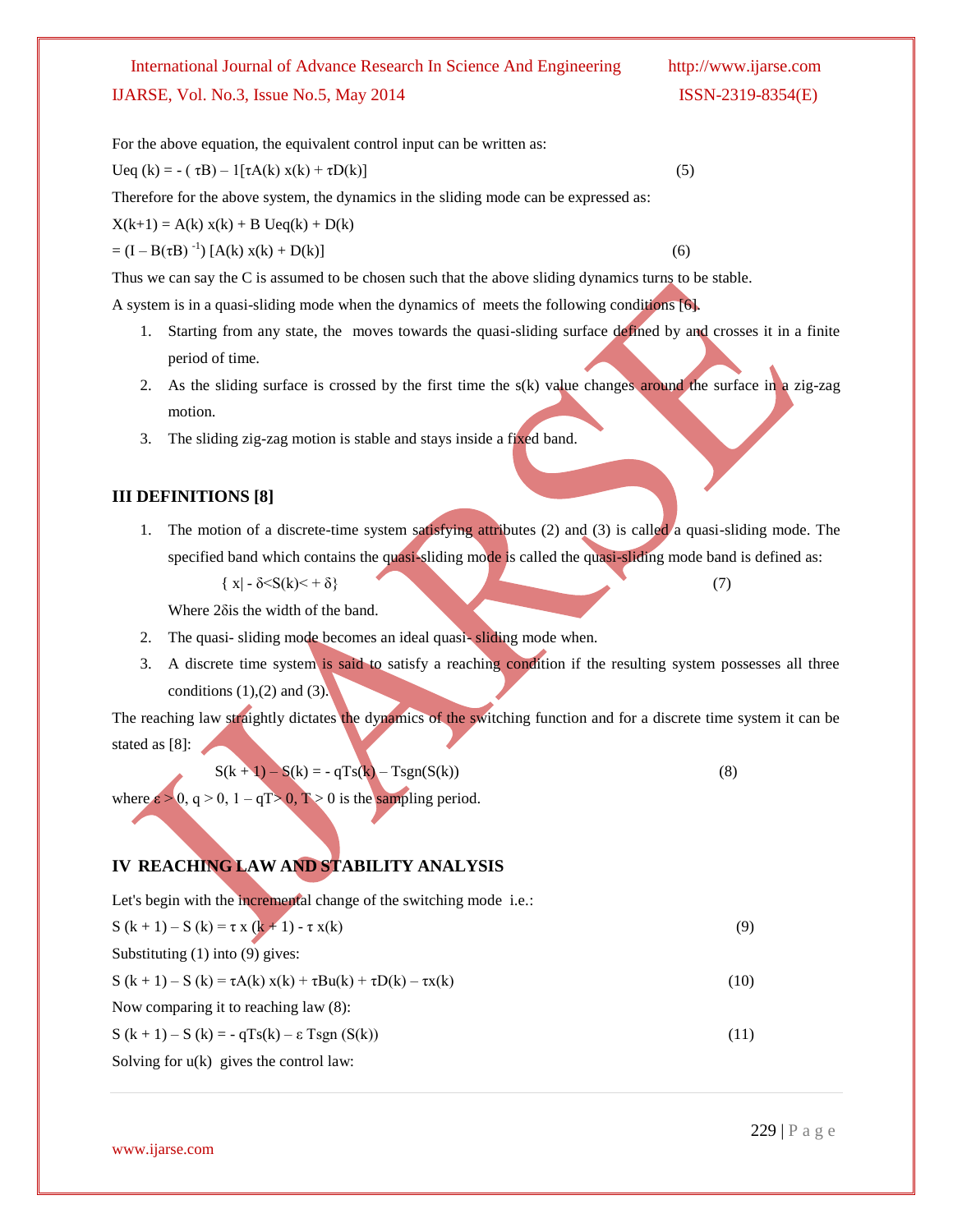For the above equation, the equivalent control input can be written as:

Ueq (k) = - ( $\tau$ B) – 1[ $\tau$ A(k) x(k) +  $\tau$ D(k)] (5)

Therefore for the above system, the dynamics in the sliding mode can be expressed as:

 $X(k+1) = A(k) x(k) + B \text{ Ueq}(k) + D(k)$ 

 $=(I - B(\tau B))^{-1}) [A(k) x(k) + D(k)]$  (6)

Thus we can say the C is assumed to be chosen such that the above sliding dynamics turns to be stable.

A system is in a quasi-sliding mode when the dynamics of meets the following conditions [6].

- 1. Starting from any state, the moves towards the quasi-sliding surface defined by and crosses it in a finite period of time.
- 2. As the sliding surface is crossed by the first time the  $s(k)$  value changes around the surface in a zig-zag motion.
- 3. The sliding zig-zag motion is stable and stays inside a fixed band.

# **III DEFINITIONS [8]**

1. The motion of a discrete-time system satisfying attributes (2) and (3) is called a quasi-sliding mode. The specified band which contains the quasi-sliding mode is called the quasi-sliding mode band is defined as:  $\{x\} - \delta \le S(k) \le + \delta\}$  (7)

Where 2δis the width of the band.

- 2. The quasi- sliding mode becomes an ideal quasi-sliding mode when.
- 3. A discrete time system is said to satisfy a reaching condition if the resulting system possesses all three conditions  $(1),(2)$  and  $(3)$ .

The reaching law straightly dictates the dynamics of the switching function and for a discrete time system it can be stated as [8]:

$$
S(k + 1) - S(k) = - qTs(k) - Tsgn(S(k))
$$
\n(8)

where  $\varepsilon > 0$ , q > 0, 1 – qT > 0, T > 0 is the sampling period.

# **IV REACHING LAW AND STABILITY ANALYSIS**

| Let's begin with the incremental change of the switching mode i.e.:      |      |
|--------------------------------------------------------------------------|------|
| $S(k + 1) - S(k) = \tau x (k + 1) - \tau x(k)$                           | (9)  |
| Substituting $(1)$ into $(9)$ gives:                                     |      |
| $S(k + 1) - S(k) = \tau A(k) x(k) + \tau B u(k) + \tau D(k) - \tau x(k)$ | (10) |
| Now comparing it to reaching law (8):                                    |      |
| $S(k + 1) - S(k) = -qTs(k) - \varepsilon Tsgn(S(k))$                     | (11) |
| Solving for $u(k)$ gives the control law:                                |      |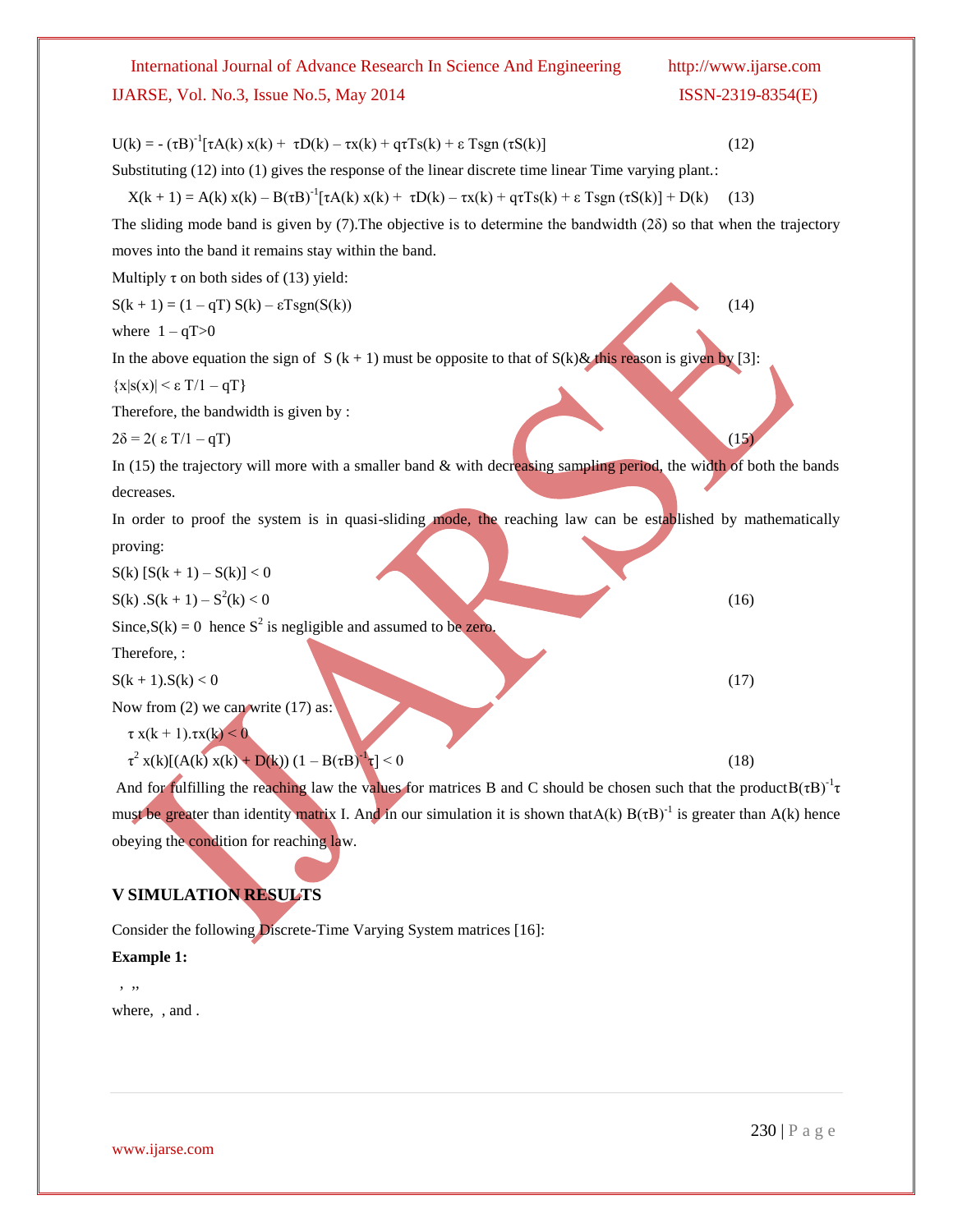$U(k) = -(\tau B)^{-1} [\tau A(k) x(k) + \tau D(k) - \tau x(k) + \tau T s(k) + \epsilon T sgn (\tau S(k))]$  (12) Substituting (12) into (1) gives the response of the linear discrete time linear Time varying plant.:

 $X(k + 1) = A(k) x(k) - B(\tau B)^{-1} [\tau A(k) x(k) + \tau D(k) - \tau x(k) + \tau T s(k) + \epsilon T s g n (\tau S(k)) + D(k)$  (13)

The sliding mode band is given by (7). The objective is to determine the bandwidth ( $2\delta$ ) so that when the trajectory moves into the band it remains stay within the band.

Multiply  $\tau$  on both sides of (13) yield:

 $S(k + 1) = (1 - qT) S(k) - \varepsilon Tsgn(S(k))$  (14)

where  $1 - qT > 0$ 

In the above equation the sign of S  $(k + 1)$  must be opposite to that of S $(k)$ & this reason is given by [3]:

$$
\{x|s(x)|\leq \epsilon\ T/1-qT\}
$$

Therefore, the bandwidth is given by :

 $2\delta = 2(\epsilon \text{ T}/1 - \text{qT})$  (15)

In (15) the trajectory will more with a smaller band  $\&$  with decreasing sampling period, the width of both the bands decreases.

In order to proof the system is in quasi-sliding mode, the reaching law can be established by mathematically proving:

 $S(k)$   $[S(k + 1) - S(k)] < 0$ 

 $S(k)$  . $S(k + 1) - S^2$  $(k) < 0$  (16)

Since,  $S(k) = 0$  hence  $S^2$  is negligible and assumed to be zero.

Therefore, :

 $S(k + 1)S(k) < 0$  (17)

Now from  $(2)$  we can write  $(17)$  as:

τ x(k + 1).τx(k) < 0

 $\tau^2$  x(k)[(A(k) x(k) + D(k)) (1 – B( $\tau$ B)<sup>-1</sup>  $|\tau|$  < 0 (18)

And for fulfilling the reaching law the values for matrices B and C should be chosen such that the product  $B(\tau B)^{-1}\tau$ must be greater than identity matrix I. And in our simulation it is shown that A(k)  $B(\tau B)^{-1}$  is greater than A(k) hence obeying the condition for reaching law.

# **V SIMULATION RESULTS**

Consider the following Discrete-Time Varying System matrices [16]:

#### **Example 1:**

```
 , ,,
where, , and .
```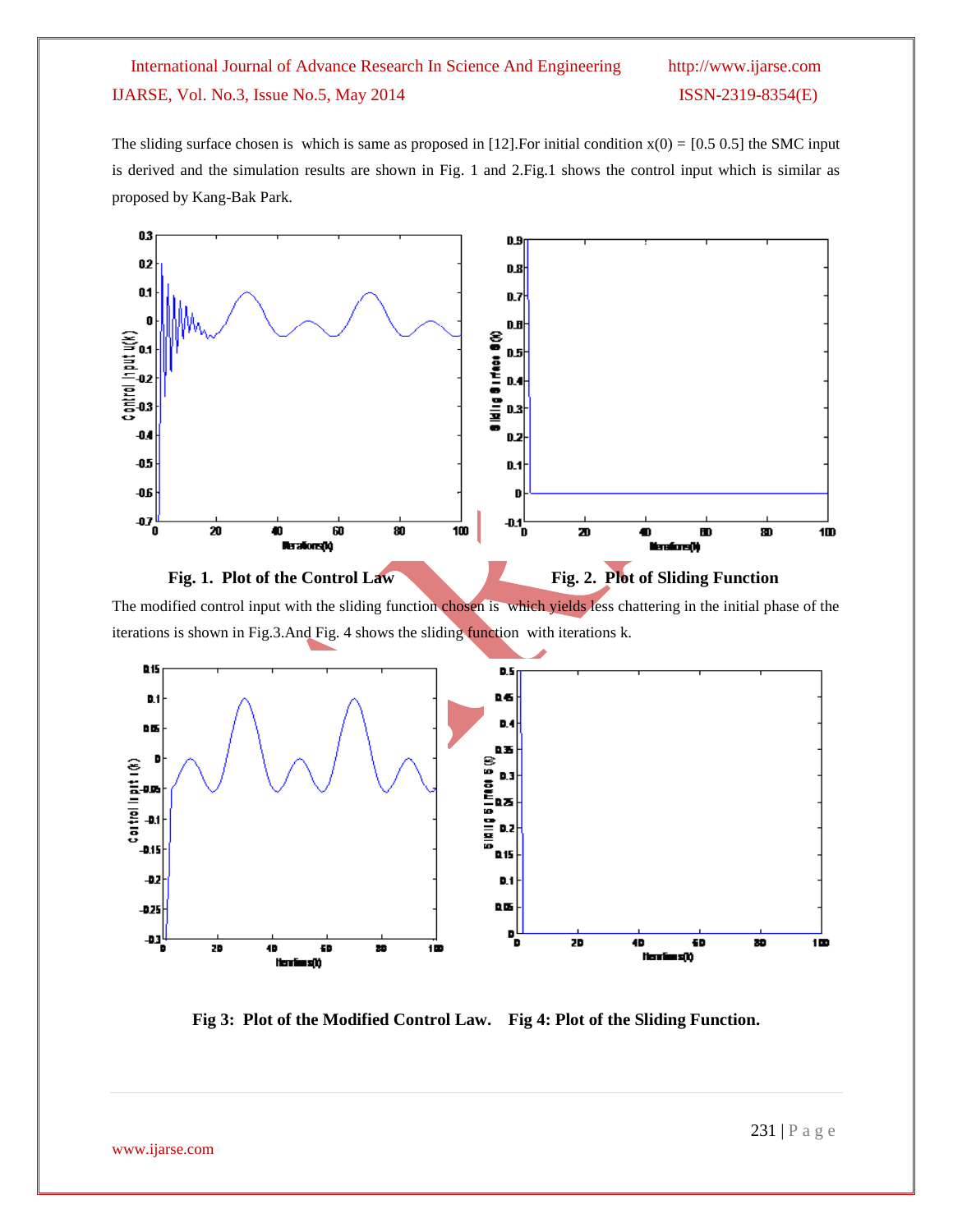The sliding surface chosen is which is same as proposed in [12]. For initial condition  $x(0) = [0.5 \ 0.5]$  the SMC input is derived and the simulation results are shown in Fig. 1 and 2.Fig.1 shows the control input which is similar as proposed by Kang-Bak Park.





Fig. 1. Plot of the Control Law Fig. 2. Plot of Sliding Function

The modified control input with the sliding function chosen is which yields less chattering in the initial phase of the iterations is shown in Fig.3.And Fig. 4 shows the sliding function with iterations k.



**Fig 3: Plot of the Modified Control Law. Fig 4: Plot of the Sliding Function.**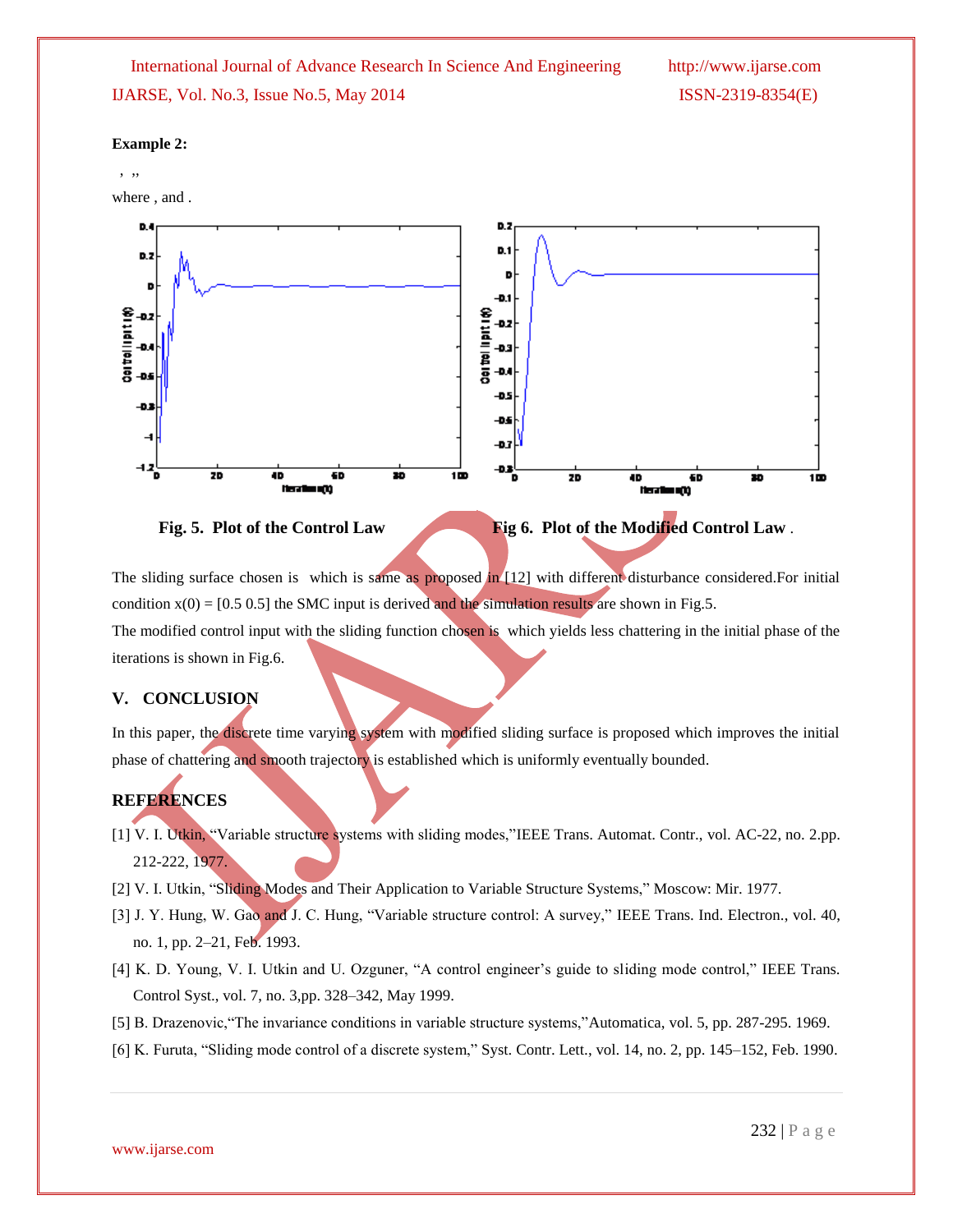#### **Example 2:**





Fig. 5. Plot of the Control Law Fig 6. Plot of the Modified Control Law.

The sliding surface chosen is which is same as proposed in  $[12]$  with different disturbance considered. For initial condition  $x(0) = [0.5 \ 0.5]$  the SMC input is derived and the simulation results are shown in Fig.5. The modified control input with the sliding function chosen is which yields less chattering in the initial phase of the iterations is shown in Fig.6.

#### **V. CONCLUSION**

In this paper, the discrete time varying system with modified sliding surface is proposed which improves the initial phase of chattering and smooth trajectory is established which is uniformly eventually bounded.

# **REFERENCES**

- [1] V. I. Utkin, "Variable structure systems with sliding modes,"IEEE Trans. Automat. Contr., vol. AC-22, no. 2.pp. 212-222, 1977.
- [2] V. I. Utkin, "Sliding Modes and Their Application to Variable Structure Systems," Moscow: Mir. 1977.
- [3] J. Y. Hung, W. Gao and J. C. Hung, "Variable structure control: A survey," IEEE Trans. Ind. Electron., vol. 40, no. 1, pp. 2–21, Feb. 1993.
- [4] K. D. Young, V. I. Utkin and U. Ozguner, "A control engineer's guide to sliding mode control," IEEE Trans. Control Syst., vol. 7, no. 3,pp. 328–342, May 1999.
- [5] B. Drazenovic,"The invariance conditions in variable structure systems,"Automatica, vol. 5, pp. 287-295. 1969.
- [6] K. Furuta, "Sliding mode control of a discrete system," Syst. Contr. Lett., vol. 14, no. 2, pp. 145–152, Feb. 1990.